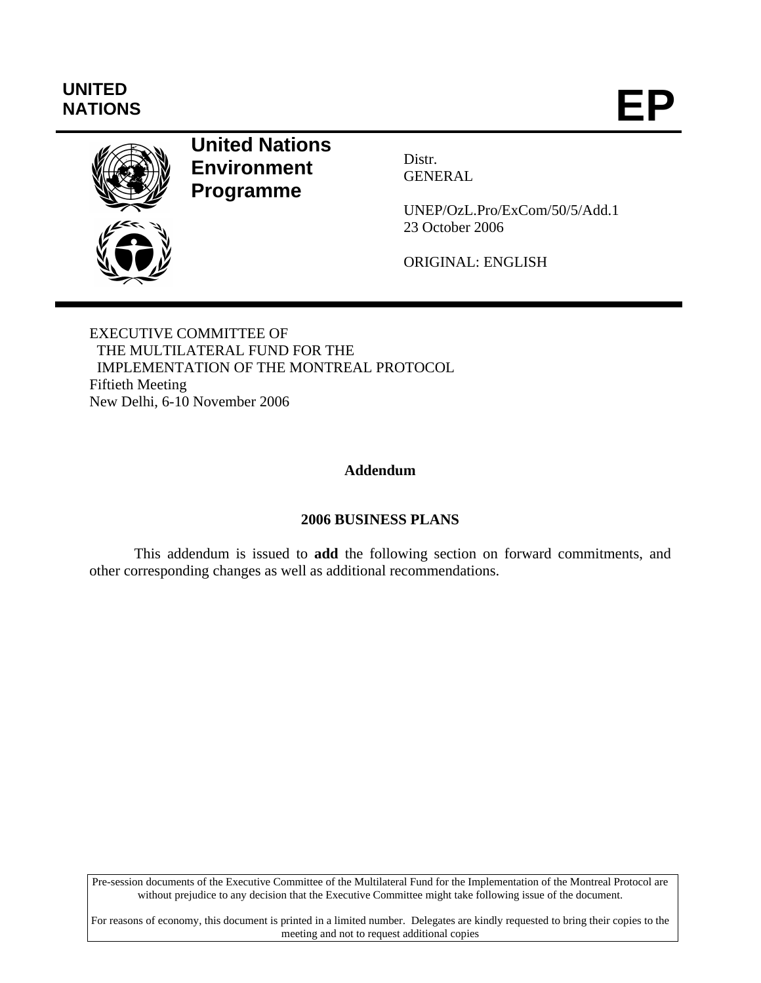# **UNITED**  UNITED<br>NATIONS **EP**



# **United Nations Environment Programme**

Distr. GENERAL

UNEP/OzL.Pro/ExCom/50/5/Add.1 23 October 2006

ORIGINAL: ENGLISH

EXECUTIVE COMMITTEE OF THE MULTILATERAL FUND FOR THE IMPLEMENTATION OF THE MONTREAL PROTOCOL Fiftieth Meeting New Delhi, 6-10 November 2006

## **Addendum**

### **2006 BUSINESS PLANS**

This addendum is issued to **add** the following section on forward commitments, and other corresponding changes as well as additional recommendations.

Pre-session documents of the Executive Committee of the Multilateral Fund for the Implementation of the Montreal Protocol are without prejudice to any decision that the Executive Committee might take following issue of the document.

For reasons of economy, this document is printed in a limited number. Delegates are kindly requested to bring their copies to the meeting and not to request additional copies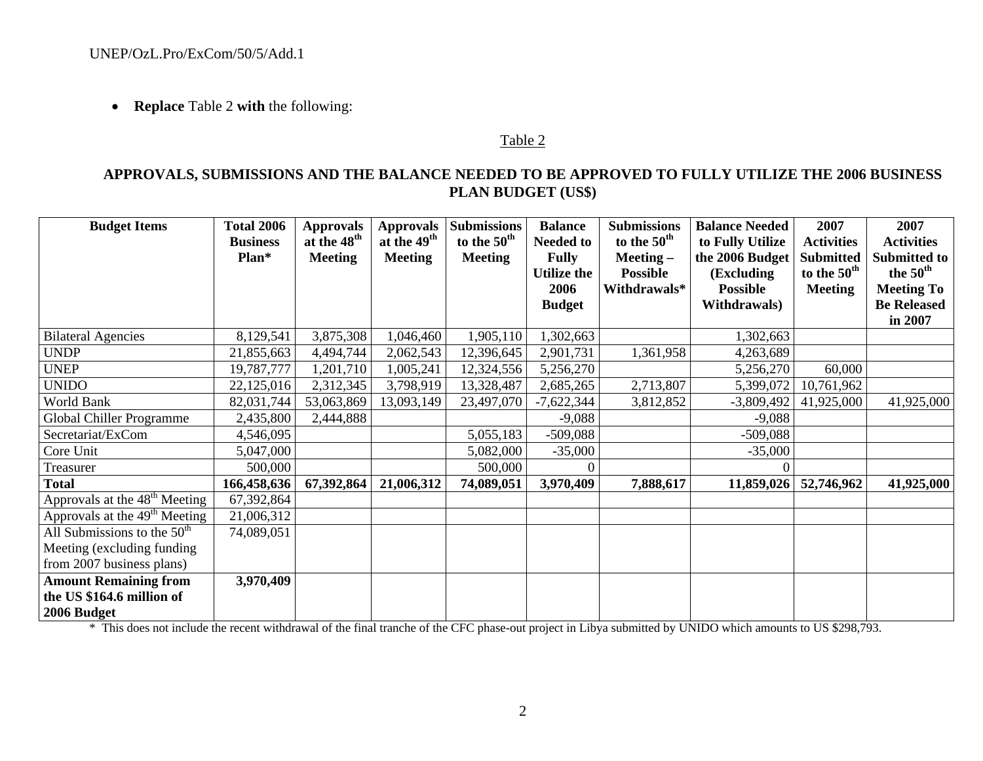• **Replace** Table 2 **with** the following:

#### Table 2

### **APPROVALS, SUBMISSIONS AND THE BALANCE NEEDED TO BE APPROVED TO FULLY UTILIZE THE 2006 BUSINESS PLAN BUDGET (US\$)**

| <b>Budget Items</b>                       | <b>Total 2006</b><br><b>Business</b><br>Plan* | <b>Approvals</b><br>at the 48 <sup>th</sup><br><b>Meeting</b> | <b>Approvals</b><br>at the 49 <sup>th</sup><br><b>Meeting</b> | <b>Submissions</b><br>to the 50 <sup>th</sup><br><b>Meeting</b> | <b>Balance</b><br><b>Needed to</b><br><b>Fully</b> | <b>Submissions</b><br>to the 50 <sup>th</sup><br>$Meeting-$ | <b>Balance Needed</b><br>to Fully Utilize<br>the 2006 Budget | 2007<br><b>Activities</b><br><b>Submitted</b> | 2007<br><b>Activities</b><br>Submitted to |
|-------------------------------------------|-----------------------------------------------|---------------------------------------------------------------|---------------------------------------------------------------|-----------------------------------------------------------------|----------------------------------------------------|-------------------------------------------------------------|--------------------------------------------------------------|-----------------------------------------------|-------------------------------------------|
|                                           |                                               |                                                               |                                                               |                                                                 | <b>Utilize the</b>                                 | <b>Possible</b>                                             | (Excluding)                                                  | to the 50 <sup>th</sup>                       | the 50 <sup>th</sup>                      |
|                                           |                                               |                                                               |                                                               |                                                                 | 2006                                               | Withdrawals*                                                | <b>Possible</b>                                              | <b>Meeting</b>                                | <b>Meeting To</b>                         |
|                                           |                                               |                                                               |                                                               |                                                                 | <b>Budget</b>                                      |                                                             | <b>Withdrawals</b> )                                         |                                               | <b>Be Released</b><br>in 2007             |
| <b>Bilateral Agencies</b>                 | 8,129,541                                     | 3,875,308                                                     | 1,046,460                                                     | 1,905,110                                                       | 1,302,663                                          |                                                             | 1,302,663                                                    |                                               |                                           |
| <b>UNDP</b>                               | 21,855,663                                    | 4,494,744                                                     | 2,062,543                                                     | 12,396,645                                                      | 2,901,731                                          | 1,361,958                                                   | 4,263,689                                                    |                                               |                                           |
| <b>UNEP</b>                               | 19,787,777                                    | 1,201,710                                                     | 1,005,241                                                     | 12,324,556                                                      | 5,256,270                                          |                                                             | 5,256,270                                                    | 60,000                                        |                                           |
| <b>UNIDO</b>                              | 22,125,016                                    | 2,312,345                                                     | 3,798,919                                                     | 13,328,487                                                      | 2,685,265                                          | 2,713,807                                                   | 5,399,072                                                    | 10,761,962                                    |                                           |
| World Bank                                | 82,031,744                                    | 53,063,869                                                    | 13,093,149                                                    | 23,497,070                                                      | $-7,622,344$                                       | 3,812,852                                                   | $-3,809,492$                                                 | 41,925,000                                    | 41,925,000                                |
| Global Chiller Programme                  | 2,435,800                                     | 2,444,888                                                     |                                                               |                                                                 | $-9,088$                                           |                                                             | $-9,088$                                                     |                                               |                                           |
| Secretariat/ExCom                         | 4,546,095                                     |                                                               |                                                               | 5,055,183                                                       | $-509,088$                                         |                                                             | $-509,088$                                                   |                                               |                                           |
| Core Unit                                 | 5,047,000                                     |                                                               |                                                               | 5,082,000                                                       | $-35,000$                                          |                                                             | $-35,000$                                                    |                                               |                                           |
| Treasurer                                 | 500,000                                       |                                                               |                                                               | 500,000                                                         |                                                    |                                                             | 0                                                            |                                               |                                           |
| <b>Total</b>                              | 166,458,636                                   | 67,392,864                                                    | 21,006,312                                                    | 74,089,051                                                      | 3,970,409                                          | 7,888,617                                                   | 11,859,026                                                   | 52,746,962                                    | 41,925,000                                |
| Approvals at the $48th$ Meeting           | 67,392,864                                    |                                                               |                                                               |                                                                 |                                                    |                                                             |                                                              |                                               |                                           |
| Approvals at the 49 <sup>th</sup> Meeting | 21,006,312                                    |                                                               |                                                               |                                                                 |                                                    |                                                             |                                                              |                                               |                                           |
| All Submissions to the $50th$             | 74,089,051                                    |                                                               |                                                               |                                                                 |                                                    |                                                             |                                                              |                                               |                                           |
| Meeting (excluding funding)               |                                               |                                                               |                                                               |                                                                 |                                                    |                                                             |                                                              |                                               |                                           |
| from 2007 business plans)                 |                                               |                                                               |                                                               |                                                                 |                                                    |                                                             |                                                              |                                               |                                           |
| <b>Amount Remaining from</b>              | 3,970,409                                     |                                                               |                                                               |                                                                 |                                                    |                                                             |                                                              |                                               |                                           |
| the US \$164.6 million of                 |                                               |                                                               |                                                               |                                                                 |                                                    |                                                             |                                                              |                                               |                                           |
| 2006 Budget                               |                                               |                                                               |                                                               |                                                                 |                                                    |                                                             |                                                              |                                               |                                           |

\* This does not include the recent withdrawal of the final tranche of the CFC phase-out project in Libya submitted by UNIDO which amounts to US \$298,793.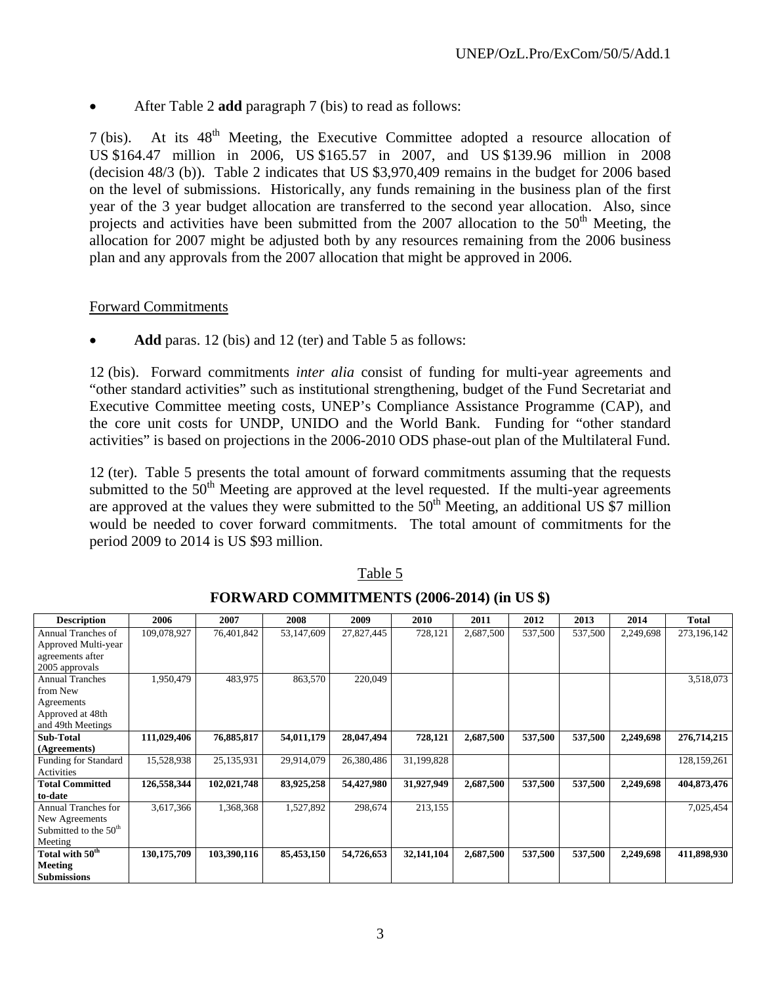• After Table 2 **add** paragraph 7 (bis) to read as follows:

 $7$  (bis). At its  $48<sup>th</sup>$  Meeting, the Executive Committee adopted a resource allocation of US \$164.47 million in 2006, US \$165.57 in 2007, and US \$139.96 million in 2008 (decision 48/3 (b)). Table 2 indicates that US \$3,970,409 remains in the budget for 2006 based on the level of submissions. Historically, any funds remaining in the business plan of the first year of the 3 year budget allocation are transferred to the second year allocation. Also, since projects and activities have been submitted from the  $2007$  allocation to the  $50<sup>th</sup>$  Meeting, the allocation for 2007 might be adjusted both by any resources remaining from the 2006 business plan and any approvals from the 2007 allocation that might be approved in 2006.

#### Forward Commitments

Add paras. 12 (bis) and 12 (ter) and Table 5 as follows:

12 (bis). Forward commitments *inter alia* consist of funding for multi-year agreements and "other standard activities" such as institutional strengthening, budget of the Fund Secretariat and Executive Committee meeting costs, UNEP's Compliance Assistance Programme (CAP), and the core unit costs for UNDP, UNIDO and the World Bank. Funding for "other standard activities" is based on projections in the 2006-2010 ODS phase-out plan of the Multilateral Fund.

12 (ter). Table 5 presents the total amount of forward commitments assuming that the requests submitted to the  $50<sup>th</sup>$  Meeting are approved at the level requested. If the multi-year agreements are approved at the values they were submitted to the  $50<sup>th</sup>$  Meeting, an additional US  $\overline{\$7}$  million would be needed to cover forward commitments. The total amount of commitments for the period 2009 to 2014 is US \$93 million.

| <b>Description</b>          | 2006        | 2007        | 2008       | 2009       | 2010       | 2011      | 2012    | 2013    | 2014      | <b>Total</b> |
|-----------------------------|-------------|-------------|------------|------------|------------|-----------|---------|---------|-----------|--------------|
| Annual Tranches of          | 109,078,927 | 76,401,842  | 53,147,609 | 27,827,445 | 728,121    | 2,687,500 | 537,500 | 537,500 | 2,249,698 | 273,196,142  |
| Approved Multi-year         |             |             |            |            |            |           |         |         |           |              |
| agreements after            |             |             |            |            |            |           |         |         |           |              |
| 2005 approvals              |             |             |            |            |            |           |         |         |           |              |
| <b>Annual Tranches</b>      | 1,950,479   | 483,975     | 863,570    | 220,049    |            |           |         |         |           | 3,518,073    |
| from New                    |             |             |            |            |            |           |         |         |           |              |
| Agreements                  |             |             |            |            |            |           |         |         |           |              |
| Approved at 48th            |             |             |            |            |            |           |         |         |           |              |
| and 49th Meetings           |             |             |            |            |            |           |         |         |           |              |
| <b>Sub-Total</b>            | 111,029,406 | 76,885,817  | 54,011,179 | 28,047,494 | 728,121    | 2,687,500 | 537,500 | 537,500 | 2,249,698 | 276,714,215  |
| (Agreements)                |             |             |            |            |            |           |         |         |           |              |
| <b>Funding for Standard</b> | 15,528,938  | 25,135,931  | 29,914,079 | 26,380,486 | 31,199,828 |           |         |         |           | 128,159,261  |
| Activities                  |             |             |            |            |            |           |         |         |           |              |
| <b>Total Committed</b>      | 126,558,344 | 102,021,748 | 83,925,258 | 54,427,980 | 31,927,949 | 2,687,500 | 537,500 | 537,500 | 2,249,698 | 404,873,476  |
| to-date                     |             |             |            |            |            |           |         |         |           |              |
| <b>Annual Tranches for</b>  | 3,617,366   | 1,368,368   | 1,527,892  | 298,674    | 213,155    |           |         |         |           | 7,025,454    |
| New Agreements              |             |             |            |            |            |           |         |         |           |              |
| Submitted to the $50th$     |             |             |            |            |            |           |         |         |           |              |
| Meeting                     |             |             |            |            |            |           |         |         |           |              |
| Total with 50 <sup>th</sup> | 130,175,709 | 103,390,116 | 85,453,150 | 54,726,653 | 32,141,104 | 2,687,500 | 537,500 | 537,500 | 2,249,698 | 411,898,930  |
| Meeting                     |             |             |            |            |            |           |         |         |           |              |
| <b>Submissions</b>          |             |             |            |            |            |           |         |         |           |              |

Table 5

| <b>FORWARD COMMITMENTS (2006-2014) (in US \$)</b> |  |
|---------------------------------------------------|--|
|---------------------------------------------------|--|